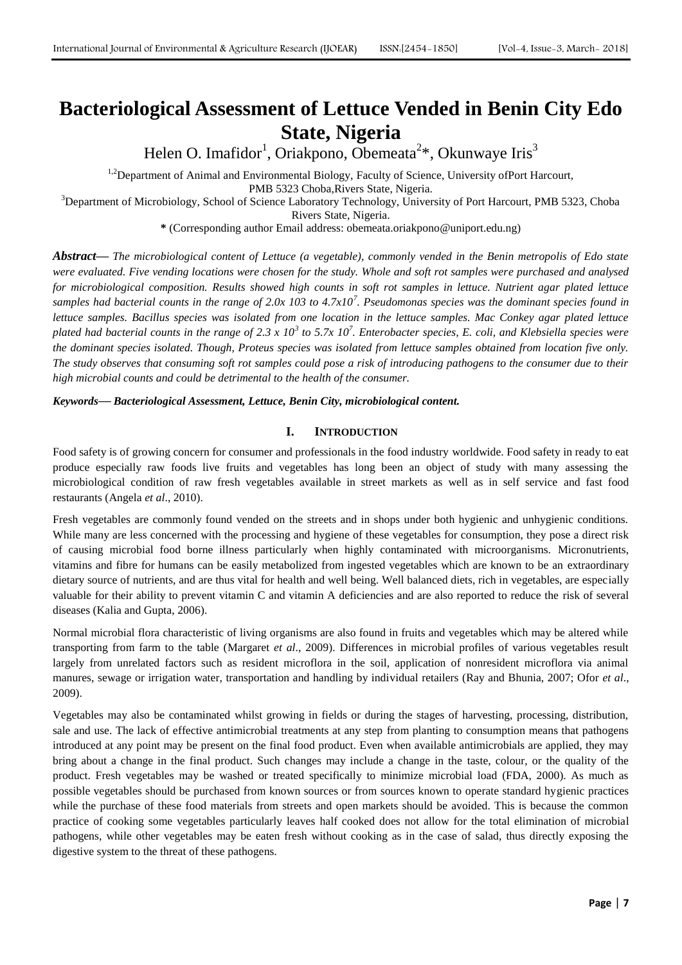# **Bacteriological Assessment of Lettuce Vended in Benin City Edo State, Nigeria**

Helen O. Imafidor<sup>1</sup>, Oriakpono, Obemeata<sup>2\*</sup>, Okunwaye Iris<sup>3</sup>

<sup>1,2</sup>Department of Animal and Environmental Biology, Faculty of Science, University ofPort Harcourt, PMB 5323 Choba,Rivers State, Nigeria. <sup>3</sup>Department of Microbiology, School of Science Laboratory Technology, University of Port Harcourt, PMB 5323, Choba

Rivers State, Nigeria.

**\*** (Corresponding author Email address: obemeata.oriakpono@uniport.edu.ng)

*Abstract***—** *The microbiological content of Lettuce (a vegetable), commonly vended in the Benin metropolis of Edo state were evaluated. Five vending locations were chosen for the study. Whole and soft rot samples were purchased and analysed for microbiological composition. Results showed high counts in soft rot samples in lettuce. Nutrient agar plated lettuce samples had bacterial counts in the range of 2.0x 103 to 4.7x10<sup>7</sup> . Pseudomonas species was the dominant species found in lettuce samples. Bacillus species was isolated from one location in the lettuce samples. Mac Conkey agar plated lettuce*  plated had bacterial counts in the range of 2.3 x 10<sup>3</sup> to 5.7x 10<sup>7</sup>. Enterobacter species, E. coli, and Klebsiella species were *the dominant species isolated. Though, Proteus species was isolated from lettuce samples obtained from location five only. The study observes that consuming soft rot samples could pose a risk of introducing pathogens to the consumer due to their high microbial counts and could be detrimental to the health of the consumer.*

*Keywords***—** *Bacteriological Assessment, Lettuce, Benin City, microbiological content.*

# **I. INTRODUCTION**

Food safety is of growing concern for consumer and professionals in the food industry worldwide. Food safety in ready to eat produce especially raw foods live fruits and vegetables has long been an object of study with many assessing the microbiological condition of raw fresh vegetables available in street markets as well as in self service and fast food restaurants (Angela *et al*., 2010).

Fresh vegetables are commonly found vended on the streets and in shops under both hygienic and unhygienic conditions. While many are less concerned with the processing and hygiene of these vegetables for consumption, they pose a direct risk of causing microbial food borne illness particularly when highly contaminated with microorganisms. Micronutrients, vitamins and fibre for humans can be easily metabolized from ingested vegetables which are known to be an extraordinary dietary source of nutrients, and are thus vital for health and well being. Well balanced diets, rich in vegetables, are especially valuable for their ability to prevent vitamin C and vitamin A deficiencies and are also reported to reduce the risk of several diseases (Kalia and Gupta, 2006).

Normal microbial flora characteristic of living organisms are also found in fruits and vegetables which may be altered while transporting from farm to the table (Margaret *et al*., 2009). Differences in microbial profiles of various vegetables result largely from unrelated factors such as resident microflora in the soil, application of nonresident microflora via animal manures, sewage or irrigation water, transportation and handling by individual retailers (Ray and Bhunia, 2007; Ofor *et al*., 2009).

Vegetables may also be contaminated whilst growing in fields or during the stages of harvesting, processing, distribution, sale and use. The lack of effective antimicrobial treatments at any step from planting to consumption means that pathogens introduced at any point may be present on the final food product. Even when available antimicrobials are applied, they may bring about a change in the final product. Such changes may include a change in the taste, colour, or the quality of the product. Fresh vegetables may be washed or treated specifically to minimize microbial load (FDA, 2000). As much as possible vegetables should be purchased from known sources or from sources known to operate standard hygienic practices while the purchase of these food materials from streets and open markets should be avoided. This is because the common practice of cooking some vegetables particularly leaves half cooked does not allow for the total elimination of microbial pathogens, while other vegetables may be eaten fresh without cooking as in the case of salad, thus directly exposing the digestive system to the threat of these pathogens.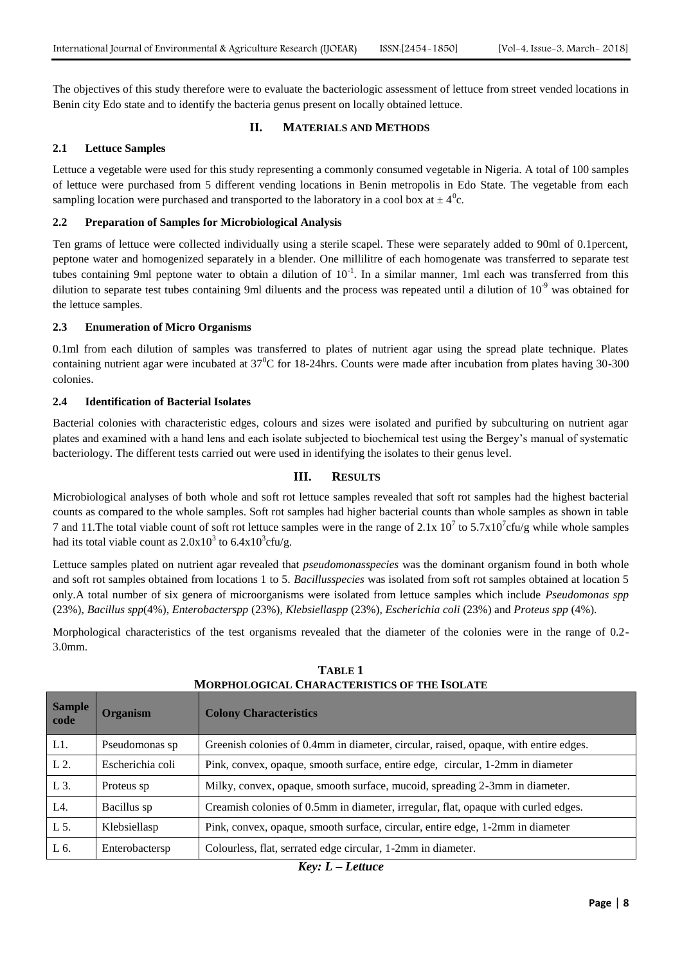The objectives of this study therefore were to evaluate the bacteriologic assessment of lettuce from street vended locations in Benin city Edo state and to identify the bacteria genus present on locally obtained lettuce.

### **II. MATERIALS AND METHODS**

#### **2.1 Lettuce Samples**

Lettuce a vegetable were used for this study representing a commonly consumed vegetable in Nigeria. A total of 100 samples of lettuce were purchased from 5 different vending locations in Benin metropolis in Edo State. The vegetable from each sampling location were purchased and transported to the laboratory in a cool box at  $\pm 4^0$ c.

#### **2.2 Preparation of Samples for Microbiological Analysis**

Ten grams of lettuce were collected individually using a sterile scapel. These were separately added to 90ml of 0.1percent, peptone water and homogenized separately in a blender. One millilitre of each homogenate was transferred to separate test tubes containing 9ml peptone water to obtain a dilution of  $10^{-1}$ . In a similar manner, 1ml each was transferred from this dilution to separate test tubes containing 9ml diluents and the process was repeated until a dilution of  $10^{-9}$  was obtained for the lettuce samples.

#### **2.3 Enumeration of Micro Organisms**

0.1ml from each dilution of samples was transferred to plates of nutrient agar using the spread plate technique. Plates containing nutrient agar were incubated at  $37^{\circ}$ C for 18-24hrs. Counts were made after incubation from plates having 30-300 colonies.

#### **2.4 Identification of Bacterial Isolates**

Bacterial colonies with characteristic edges, colours and sizes were isolated and purified by subculturing on nutrient agar plates and examined with a hand lens and each isolate subjected to biochemical test using the Bergey's manual of systematic bacteriology. The different tests carried out were used in identifying the isolates to their genus level.

## **III. RESULTS**

Microbiological analyses of both whole and soft rot lettuce samples revealed that soft rot samples had the highest bacterial counts as compared to the whole samples. Soft rot samples had higher bacterial counts than whole samples as shown in table 7 and 11. The total viable count of soft rot lettuce samples were in the range of  $2.1x\ 10^7$  to  $5.7x10^7$ cfu/g while whole samples had its total viable count as  $2.0x10^3$  to  $6.4x10^3$ cfu/g.

Lettuce samples plated on nutrient agar revealed that *pseudomonasspecies* was the dominant organism found in both whole and soft rot samples obtained from locations 1 to 5. *Bacillusspecies* was isolated from soft rot samples obtained at location 5 only.A total number of six genera of microorganisms were isolated from lettuce samples which include *Pseudomonas spp* (23%), *Bacillus spp*(4%), *Enterobacterspp* (23%), *Klebsiellaspp* (23%), *Escherichia coli* (23%) and *Proteus spp* (4%).

Morphological characteristics of the test organisms revealed that the diameter of the colonies were in the range of 0.2- 3.0mm.

| <b>Sample</b><br>code | <b>Organism</b>  | <b>Colony Characteristics</b>                                                        |
|-----------------------|------------------|--------------------------------------------------------------------------------------|
| L1.                   | Pseudomonas sp   | Greenish colonies of 0.4mm in diameter, circular, raised, opaque, with entire edges. |
| $L2$ .                | Escherichia coli | Pink, convex, opaque, smooth surface, entire edge, circular, 1-2mm in diameter       |
| L 3.                  | Proteus sp       | Milky, convex, opaque, smooth surface, mucoid, spreading 2-3mm in diameter.          |
| L <sub>4</sub> .      | Bacillus sp      | Creamish colonies of 0.5mm in diameter, irregular, flat, opaque with curled edges.   |
| L 5.                  | Klebsiellasp     | Pink, convex, opaque, smooth surface, circular, entire edge, 1-2mm in diameter       |
| L 6.                  | Enterobactersp   | Colourless, flat, serrated edge circular, 1-2mm in diameter.                         |

**TABLE 1 MORPHOLOGICAL CHARACTERISTICS OF THE ISOLATE**

*Key: L – Lettuce*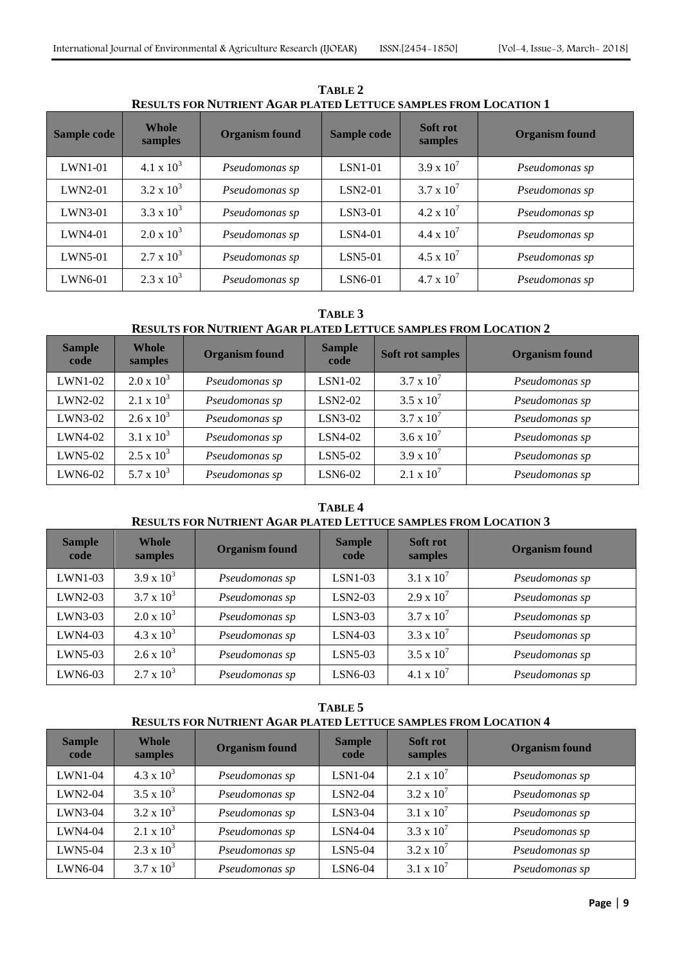| KESULIS FUK INTIKIENI AGAK FLATED LETTUCE SAMFLES FKUM LOCATION T |                         |                       |             |                            |                       |  |  |  |  |  |  |
|-------------------------------------------------------------------|-------------------------|-----------------------|-------------|----------------------------|-----------------------|--|--|--|--|--|--|
| Sample code                                                       | <b>Whole</b><br>samples | <b>Organism found</b> | Sample code | <b>Soft rot</b><br>samples | <b>Organism found</b> |  |  |  |  |  |  |
| $LWN1-01$                                                         | 4.1 x $10^3$            | Pseudomonas sp        | $LSN1-01$   | $3.9 \times 10^{7}$        | Pseudomonas sp        |  |  |  |  |  |  |
| $LWN2-01$                                                         | $3.2 \times 10^3$       | Pseudomonas sp        | $LSN2-01$   | $3.7 \times 10^{7}$        | Pseudomonas sp        |  |  |  |  |  |  |
| $LWN3-01$                                                         | $3.3 \times 10^3$       | Pseudomonas sp        | $LSN3-01$   | $4.2 \times 10^{7}$        | Pseudomonas sp        |  |  |  |  |  |  |
| $LWN4-01$                                                         | $2.0 \times 10^3$       | Pseudomonas sp        | $LSN4-01$   | $4.4 \times 10^{7}$        | Pseudomonas sp        |  |  |  |  |  |  |
| $LWN5-01$                                                         | $2.7 \times 10^3$       | Pseudomonas sp        | $LSN5-01$   | $4.5 \times 10^{7}$        | Pseudomonas sp        |  |  |  |  |  |  |
| LWN6-01                                                           | $2.3 \times 10^3$       | Pseudomonas sp        | $LSN6-01$   | $4.7 \times 10^{7}$        | Pseudomonas sp        |  |  |  |  |  |  |

**TABLE 2 RESULTS FOR NUTRIENT AGAR PLATED LETTUCE SAMPLES FROM LOCATION 1**

# **TABLE 3**

# **RESULTS FOR NUTRIENT AGAR PLATED LETTUCE SAMPLES FROM LOCATION 2**

| <b>Sample</b><br>code | Whole<br>samples  | <b>Organism found</b> | <b>Sample</b><br>code | <b>Soft rot samples</b> | <b>Organism found</b> |
|-----------------------|-------------------|-----------------------|-----------------------|-------------------------|-----------------------|
| LWN1-02               | $2.0 \times 10^3$ | Pseudomonas sp        | $LSN1-02$             | $3.7 \times 10^7$       | Pseudomonas sp        |
| LWN2-02               | $2.1 \times 10^3$ | Pseudomonas sp        | $LSN2-02$             | $3.5 \times 10^{7}$     | Pseudomonas sp        |
| LWN3-02               | $2.6 \times 10^3$ | Pseudomonas sp        | $LSN3-02$             | $3.7 \times 10^7$       | Pseudomonas sp        |
| LWN4-02               | $3.1 \times 10^3$ | Pseudomonas sp        | $LSN4-02$             | 3.6 x $10^7$            | Pseudomonas sp        |
| LWN5-02               | $2.5 \times 10^3$ | Pseudomonas sp        | $LSN5-02$             | $3.9 \times 10^{7}$     | Pseudomonas sp        |
| LWN6-02               | $5.7 \times 10^3$ | Pseudomonas sp        | LSN6-02               | $2.1 \times 10^7$       | Pseudomonas sp        |

# **TABLE 4 RESULTS FOR NUTRIENT AGAR PLATED LETTUCE SAMPLES FROM LOCATION 3**

| <b>Sample</b><br>code | <b>Whole</b><br>samples | <b>Organism found</b> | <b>Sample</b><br>code | Soft rot<br>samples | <b>Organism found</b> |  |  |
|-----------------------|-------------------------|-----------------------|-----------------------|---------------------|-----------------------|--|--|
| $LWN1-03$             | $3.9 \times 10^3$       | Pseudomonas sp        | $LSN1-03$             | $3.1 \times 10^7$   | Pseudomonas sp        |  |  |
| LWN2-03               | $3.7 \times 10^3$       | Pseudomonas sp        | LSN2-03               | $2.9 \times 10^7$   | Pseudomonas sp        |  |  |
| $LWN3-03$             | $2.0 \times 10^3$       | Pseudomonas sp        | $LSN3-03$             | $3.7 \times 10^7$   | Pseudomonas sp        |  |  |
| LWN4-03               | $4.3 \times 10^3$       | Pseudomonas sp        | $LSN4-03$             | $3.3 \times 10^7$   | Pseudomonas sp        |  |  |
| $LWN5-03$             | $2.6 \times 10^3$       | Pseudomonas sp        | $LSN5-03$             | $3.5 \times 10^7$   | Pseudomonas sp        |  |  |
| LWN6-03               | $2.7 \times 10^3$       | Pseudomonas sp        | LSN6-03               | 4.1 x $10^7$        | Pseudomonas sp        |  |  |

**TABLE 5 RESULTS FOR NUTRIENT AGAR PLATED LETTUCE SAMPLES FROM LOCATION 4**

| <b>Sample</b><br>code | <b>Whole</b><br>samples | <b>Organism found</b> | <b>Sample</b><br>code | Soft rot<br>samples | <b>Organism found</b> |
|-----------------------|-------------------------|-----------------------|-----------------------|---------------------|-----------------------|
| $LWN1-04$             | $4.3 \times 10^3$       | Pseudomonas sp        | $LSN1-04$             | $2.1 \times 10^7$   | Pseudomonas sp        |
| $LWN2-04$             | $3.5 \times 10^3$       | Pseudomonas sp        | $LSN2-04$             | $3.2 \times 10^7$   | Pseudomonas sp        |
| LWN3-04               | $3.2 \times 10^3$       | Pseudomonas sp        | $LSN3-04$             | $3.1 \times 10^7$   | Pseudomonas sp        |
| LWN4-04               | 2.1 x $10^3$            | Pseudomonas sp        | $LSN4-04$             | $3.3 \times 10^7$   | Pseudomonas sp        |
| <b>LWN5-04</b>        | $2.3 \times 10^3$       | Pseudomonas sp        | LSN5-04               | $3.2 \times 10^7$   | Pseudomonas sp        |
| LWN6-04               | $3.7 \times 10^3$       | Pseudomonas sp        | LSN6-04               | $3.1 \times 10^7$   | Pseudomonas sp        |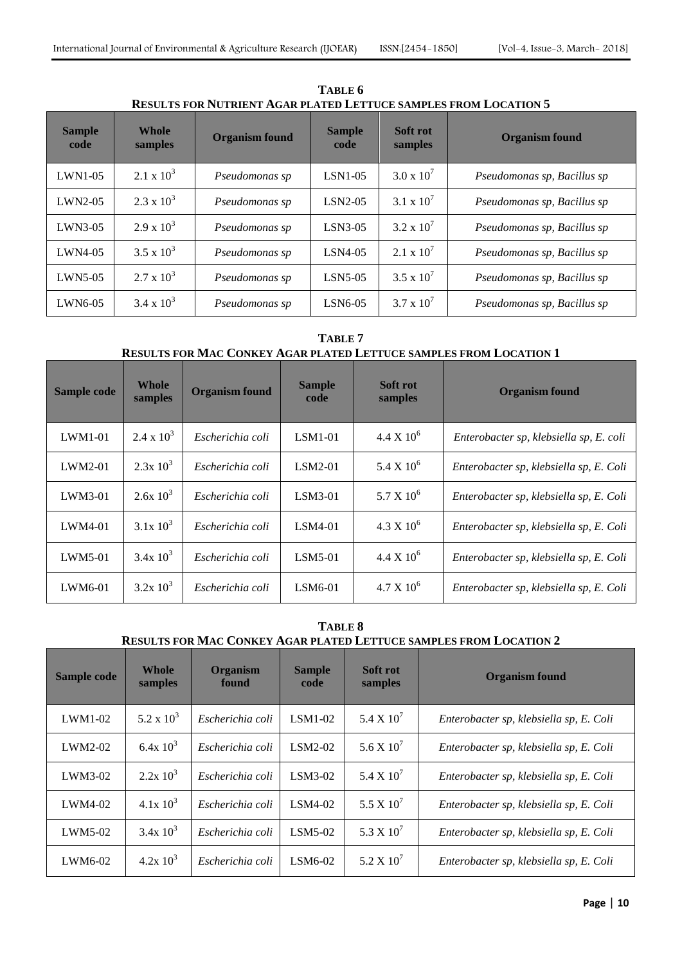| <b>Sample</b><br>code | <b>Whole</b><br>samples | <b>Organism found</b> | Soft rot<br><b>Sample</b><br>samples<br>code |                     | <b>Organism found</b>       |
|-----------------------|-------------------------|-----------------------|----------------------------------------------|---------------------|-----------------------------|
| $LWN1-05$             | $2.1 \times 10^3$       | Pseudomonas sp        | $LSN1-05$                                    | $3.0 \times 10^{7}$ | Pseudomonas sp, Bacillus sp |
| $LWN2-05$             | $2.3 \times 10^3$       | Pseudomonas sp        | $LSN2-05$                                    | 3.1 x $10^{7}$      | Pseudomonas sp, Bacillus sp |
| $LWN3-05$             | $2.9 \times 10^3$       | Pseudomonas sp        | $LSN3-05$                                    | $3.2 \times 10^7$   | Pseudomonas sp, Bacillus sp |
| $LWN4-05$             | $3.5 \times 10^3$       | Pseudomonas sp        | $LSN4-05$                                    | $2.1 \times 10^7$   | Pseudomonas sp, Bacillus sp |
| LWN5-05               | $2.7 \times 10^3$       | Pseudomonas sp        | $LSN5-05$                                    | $3.5 \times 10^7$   | Pseudomonas sp, Bacillus sp |
| $LWN6-05$             | $3.4 \times 10^3$       | Pseudomonas sp        | LSN6-05                                      | $3.7 \times 10^7$   | Pseudomonas sp, Bacillus sp |

**TABLE 6 RESULTS FOR NUTRIENT AGAR PLATED LETTUCE SAMPLES FROM LOCATION 5**

# **TABLE 7 RESULTS FOR MAC CONKEY AGAR PLATED LETTUCE SAMPLES FROM LOCATION 1**

| Sample code | <b>Whole</b><br>samples | <b>Organism found</b> | <b>Sample</b><br>code | Soft rot<br>samples | <b>Organism found</b>                   |
|-------------|-------------------------|-----------------------|-----------------------|---------------------|-----------------------------------------|
| $LWM1-01$   | $2.4 \times 10^3$       | Escherichia coli      | $LSM1-01$             | $4.4 \times 10^{6}$ | Enterobacter sp, klebsiella sp, E. coli |
| $LWM2-01$   | $2.3x\;10^3$            | Escherichia coli      | $LSM2-01$             | 5.4 X $10^6$        | Enterobacter sp, klebsiella sp, E. Coli |
| $LWM3-01$   | $2.6x\;10^3$            | Escherichia coli      | $LSM3-01$             | $5.7 \times 10^6$   | Enterobacter sp, klebsiella sp, E. Coli |
| $LWM4-01$   | $3.1x\ 10^3$            | Escherichia coli      | $LSM4-01$             | $4.3 \times 10^6$   | Enterobacter sp, klebsiella sp, E. Coli |
| $LWM5-01$   | $3.4x\ 10^3$            | Escherichia coli      | $LSM5-01$             | $4.4 \times 10^6$   | Enterobacter sp, klebsiella sp, E. Coli |
| LWM6-01     | $3.2x\;10^3$            | Escherichia coli      | LSM6-01               | $4.7 \times 10^{6}$ | Enterobacter sp, klebsiella sp, E. Coli |

# **TABLE 8 RESULTS FOR MAC CONKEY AGAR PLATED LETTUCE SAMPLES FROM LOCATION 2**

| Sample code | Whole<br>samples | <b>Organism</b><br>found | <b>Sample</b><br>code | Soft rot<br>samples | <b>Organism found</b>                   |
|-------------|------------------|--------------------------|-----------------------|---------------------|-----------------------------------------|
| $LWM1-02$   | 5.2 x $10^3$     | Escherichia coli         | $LSM1-02$             | 5.4 X $10^7$        | Enterobacter sp, klebsiella sp, E. Coli |
| $LWM2-02$   | $6.4x10^{3}$     | Escherichia coli         | $LSM2-02$             | 5.6 X $10^7$        | Enterobacter sp, klebsiella sp, E. Coli |
| $LWM3-02$   | $2.2x\;10^3$     | Escherichia coli         | $LSM3-02$             | 5.4 X $10^7$        | Enterobacter sp, klebsiella sp, E. Coli |
| $LWM4-02$   | $4.1x\;10^3$     | Escherichia coli         | $LSM4-02$             | 5.5 X $10^7$        | Enterobacter sp, klebsiella sp, E. Coli |
| $LWM5-02$   | $3.4x\,10^3$     | Escherichia coli         | $LSM5-02$             | 5.3 X $10^7$        | Enterobacter sp, klebsiella sp, E. Coli |
| LWM6-02     | $4.2x\;10^3$     | Escherichia coli         | $LSM6-02$             | $5.2 \times 10^7$   | Enterobacter sp, klebsiella sp, E. Coli |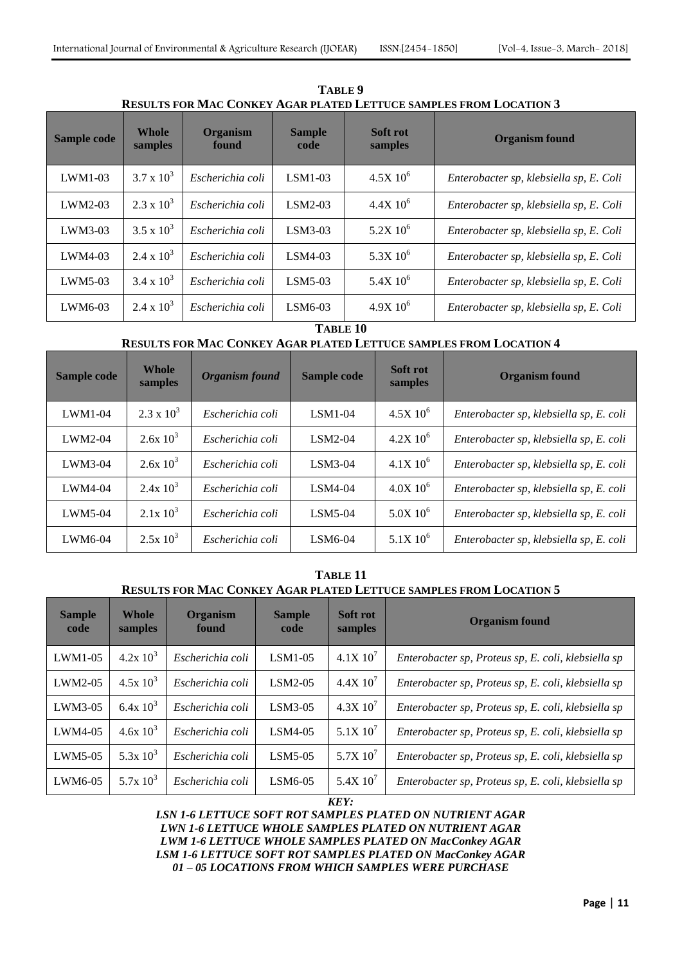| <u>KESULIS FOK MAC CONKET AGAR FLATED LETTUCE SAMPLES FROM LOCATION 3</u> |                         |                          |                       |                        |                                         |  |  |  |  |  |  |
|---------------------------------------------------------------------------|-------------------------|--------------------------|-----------------------|------------------------|-----------------------------------------|--|--|--|--|--|--|
| Sample code                                                               | <b>Whole</b><br>samples | <b>Organism</b><br>found | <b>Sample</b><br>code | Soft rot<br>samples    | <b>Organism found</b>                   |  |  |  |  |  |  |
| $LWM1-03$                                                                 | $3.7 \times 10^3$       | Escherichia coli         | $LSM1-03$             | $4.5X10^6$             | Enterobacter sp, klebsiella sp, E. Coli |  |  |  |  |  |  |
| $LWM2-03$                                                                 | $2.3 \times 10^3$       | Escherichia coli         | $LSM2-03$             | $4.4X\,10^6$           | Enterobacter sp, klebsiella sp, E. Coli |  |  |  |  |  |  |
| $LWM3-03$                                                                 | $3.5 \times 10^3$       | Escherichia coli         | $LSM3-03$             | $5.2X$ 10 <sup>6</sup> | Enterobacter sp, klebsiella sp, E. Coli |  |  |  |  |  |  |
| $LWM4-03$                                                                 | $2.4 \times 10^3$       | Escherichia coli         | $LSM4-03$             | $5.3X10^6$             | Enterobacter sp, klebsiella sp, E. Coli |  |  |  |  |  |  |
| $LWM5-03$                                                                 | $3.4 \times 10^3$       | Escherichia coli         | $LSM5-03$             | 5.4X $10^6$            | Enterobacter sp, klebsiella sp, E. Coli |  |  |  |  |  |  |
| LWM6-03                                                                   | $2.4 \times 10^3$       | Escherichia coli         | $LSM6-03$             | $4.9X10^{6}$           | Enterobacter sp, klebsiella sp, E. Coli |  |  |  |  |  |  |

**TABLE 9 RESULTS FOR MAC CONKEY AGAR PLATED LETTUCE SAMPLES FROM LOCATION 3**

#### **TABLE 10**

# **RESULTS FOR MAC CONKEY AGAR PLATED LETTUCE SAMPLES FROM LOCATION 4**

| Sample code | <b>Whole</b><br>samples | Organism found   | Sample code | Soft rot<br>samples | <b>Organism found</b>                   |
|-------------|-------------------------|------------------|-------------|---------------------|-----------------------------------------|
| $LWM1-04$   | $2.3 \times 10^3$       | Escherichia coli | $LSM1-04$   | $4.5X10^{6}$        | Enterobacter sp, klebsiella sp, E. coli |
| $LWM2-04$   | $2.6x\,10^3$            | Escherichia coli | $LSM2-04$   | $4.2X\,10^6$        | Enterobacter sp, klebsiella sp, E. coli |
| $LWM3-04$   | $2.6x\ 10^3$            | Escherichia coli | $LSM3-04$   | $4.1X\,10^{6}$      | Enterobacter sp, klebsiella sp, E. coli |
| $LWM4-04$   | $2.4x\;10^3$            | Escherichia coli | $LSM4-04$   | $4.0X10^6$          | Enterobacter sp, klebsiella sp, E. coli |
| $LWM5-04$   | $2.1x\ 10^3$            | Escherichia coli | $LSM5-04$   | $5.0X10^6$          | Enterobacter sp, klebsiella sp, E. coli |
| LWM6-04     | $2.5x 10^3$             | Escherichia coli | LSM6-04     | $5.1X\,10^6$        | Enterobacter sp, klebsiella sp, E. coli |

## **TABLE 11 RESULTS FOR MAC CONKEY AGAR PLATED LETTUCE SAMPLES FROM LOCATION 5**

| <b>Sample</b><br>code | Whole<br>samples | <b>Organism</b><br>found | <b>Sample</b><br>code | Soft rot<br>samples | <b>Organism found</b>                               |
|-----------------------|------------------|--------------------------|-----------------------|---------------------|-----------------------------------------------------|
| $LWM1-05$             | $4.2x\ 10^3$     | Escherichia coli         | $LSM1-05$             | $4.1X\,10'$         | Enterobacter sp, Proteus sp, E. coli, klebsiella sp |
| LWM2-05               | $4.5x10^{3}$     | Escherichia coli         | $LSM2-05$             | 4.4X10'             | Enterobacter sp, Proteus sp, E. coli, klebsiella sp |
| $LWM3-05$             | $6.4x\ 10^3$     | Escherichia coli         | $LSM3-05$             | $4.3X\,10'$         | Enterobacter sp, Proteus sp, E. coli, klebsiella sp |
| $LWM4-05$             | $4.6x\,10^{3}$   | Escherichia coli         | $LSM4-05$             | $5.1X\,10^7$        | Enterobacter sp, Proteus sp, E. coli, klebsiella sp |
| $LWM5-05$             | 5.3x $10^3$      | Escherichia coli         | $LSM5-05$             | $5.7X$ $10^7$       | Enterobacter sp, Proteus sp, E. coli, klebsiella sp |
| $LWM6-05$             | $5.7x 10^3$      | Escherichia coli         | LSM6-05               | 5.4X $10^{7}$       | Enterobacter sp, Proteus sp, E. coli, klebsiella sp |

*KEY:*

*LSN 1-6 LETTUCE SOFT ROT SAMPLES PLATED ON NUTRIENT AGAR LWN 1-6 LETTUCE WHOLE SAMPLES PLATED ON NUTRIENT AGAR LWM 1-6 LETTUCE WHOLE SAMPLES PLATED ON MacConkey AGAR LSM 1-6 LETTUCE SOFT ROT SAMPLES PLATED ON MacConkey AGAR 01 – 05 LOCATIONS FROM WHICH SAMPLES WERE PURCHASE*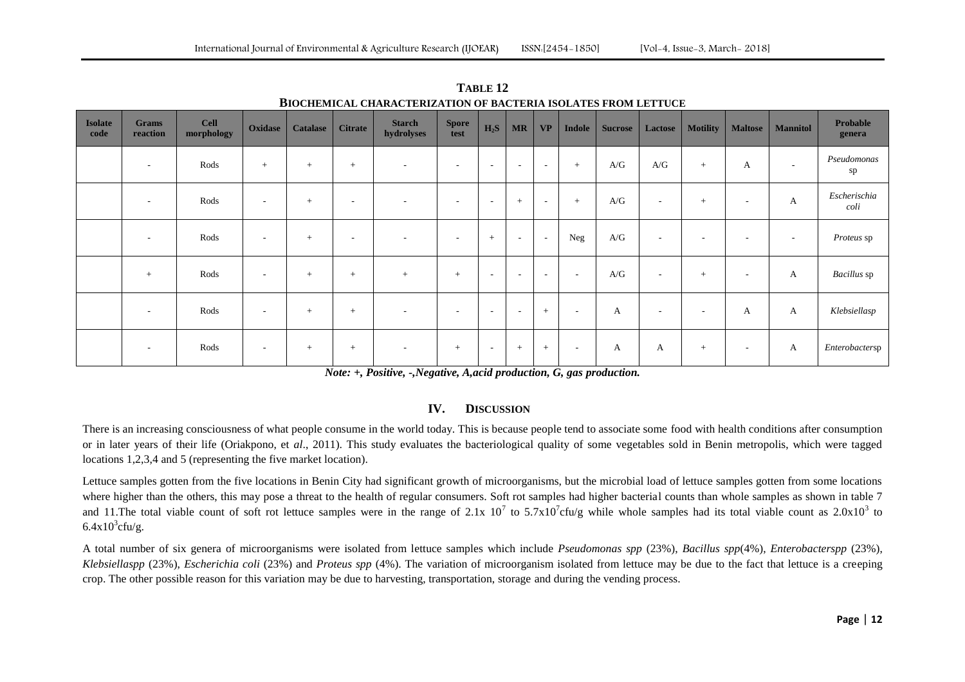| <b>Isolate</b><br>code | <b>Grams</b><br>reaction | <b>Cell</b><br>morphology | Oxidase                  | <b>Catalase</b> | <b>Citrate</b>           | <b>Starch</b><br>hydrolyses | <b>Spore</b><br>test | $H_2S$                   | <b>MR</b>                | <b>VP</b>                | <b>Indole</b>            | <b>Sucrose</b> | Lactose                  | <b>Motility</b>          | <b>Maltose</b>           | <b>Mannitol</b> | Probable<br>genera   |
|------------------------|--------------------------|---------------------------|--------------------------|-----------------|--------------------------|-----------------------------|----------------------|--------------------------|--------------------------|--------------------------|--------------------------|----------------|--------------------------|--------------------------|--------------------------|-----------------|----------------------|
|                        | $\overline{\phantom{a}}$ | Rods                      | $+$                      | $+$             | $+$                      | $\overline{\phantom{a}}$    | $\sim$               | $\overline{\phantom{a}}$ | $\overline{\phantom{a}}$ | $\sim$                   | $+$                      | A/G            | A/G                      | $+$                      | A                        | $\sim$          | Pseudomonas<br>sp    |
|                        | $\overline{\phantom{a}}$ | Rods                      | $\overline{\phantom{a}}$ | $+$             | $\sim$                   |                             | $\sim$               | $\sim$                   | $\overline{+}$           | $\overline{\phantom{a}}$ | $+$                      | A/G            | $\overline{\phantom{a}}$ | $+$                      | $\overline{\phantom{a}}$ | A               | Escherischia<br>coli |
|                        | $\overline{\phantom{a}}$ | Rods                      | $\sim$                   | $+$             | $\overline{\phantom{a}}$ | $\overline{\phantom{a}}$    | $\sim$               | $+$                      | $\overline{\phantom{a}}$ | $\sim$                   | Neg                      | A/G            | $\overline{\phantom{a}}$ | $\overline{\phantom{a}}$ | $\overline{\phantom{a}}$ | $\sim$          | Proteus sp           |
|                        | $+$                      | Rods                      | $\sim$                   | $+$             | $+$                      | $+$                         | $+$                  | $\overline{\phantom{a}}$ | $\overline{\phantom{a}}$ | $\sim$                   | $\sim$                   | A/G            | $\overline{\phantom{a}}$ | $+$                      | $\overline{\phantom{a}}$ | A               | Bacillus sp          |
|                        | $\sim$                   | Rods                      | $\overline{\phantom{a}}$ | $+$             | $+$                      | $\overline{\phantom{a}}$    | $\sim$               | $\overline{\phantom{a}}$ | $\overline{\phantom{a}}$ | $+$                      | $\overline{\phantom{a}}$ | A              | $\overline{\phantom{a}}$ | $\overline{\phantom{a}}$ | А                        | A               | Klebsiellasp         |
|                        | $\overline{\phantom{a}}$ | Rods                      | $\sim$                   | $+$             | $+$                      | $\overline{\phantom{a}}$    | $+$                  | $\overline{\phantom{a}}$ | $+$                      | $+$                      | $\sim$                   | A              | A                        | $+$                      | $\overline{\phantom{a}}$ | A               | Enterobactersp       |

**TABLE 12 BIOCHEMICAL CHARACTERIZATION OF BACTERIA ISOLATES FROM LETTUCE** 

*Note: +, Positive, -,Negative, A,acid production, G, gas production.*

## **IV. DISCUSSION**

There is an increasing consciousness of what people consume in the world today. This is because people tend to associate some food with health conditions after consumption or in later years of their life (Oriakpono, et *al*., 2011). This study evaluates the bacteriological quality of some vegetables sold in Benin metropolis, which were tagged locations 1,2,3,4 and 5 (representing the five market location).

Lettuce samples gotten from the five locations in Benin City had significant growth of microorganisms, but the microbial load of lettuce samples gotten from some locations where higher than the others, this may pose a threat to the health of regular consumers. Soft rot samples had higher bacterial counts than whole samples as shown in table 7 and 11. The total viable count of soft rot lettuce samples were in the range of 2.1x 10<sup>7</sup> to 5.7x10<sup>7</sup> cfu/g while whole samples had its total viable count as  $2.0x10<sup>3</sup>$  to  $6.4x10^{3}$ cfu/g.

A total number of six genera of microorganisms were isolated from lettuce samples which include *Pseudomonas spp* (23%), *Bacillus spp*(4%), *Enterobacterspp* (23%), *Klebsiellaspp* (23%), *Escherichia coli* (23%) and *Proteus spp* (4%). The variation of microorganism isolated from lettuce may be due to the fact that lettuce is a creeping crop. The other possible reason for this variation may be due to harvesting, transportation, storage and during the vending process.